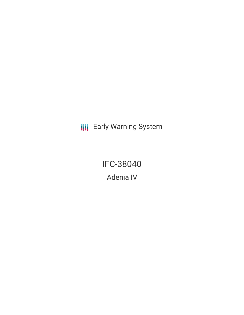**III** Early Warning System

IFC-38040 Adenia IV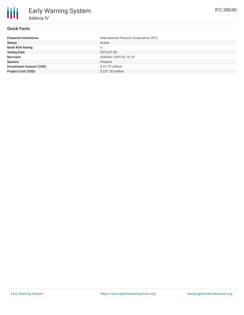# **Quick Facts**

₩

| <b>Financial Institutions</b>  | International Finance Corporation (IFC) |
|--------------------------------|-----------------------------------------|
| <b>Status</b>                  | Active                                  |
| <b>Bank Risk Rating</b>        | U                                       |
| <b>Voting Date</b>             | 2016-07-26                              |
| <b>Borrower</b>                | ADENIA CAPITAL IV LP                    |
| <b>Sectors</b>                 | Finance                                 |
| <b>Investment Amount (USD)</b> | $$23.73$ million                        |
| <b>Project Cost (USD)</b>      | \$237.30 million                        |
|                                |                                         |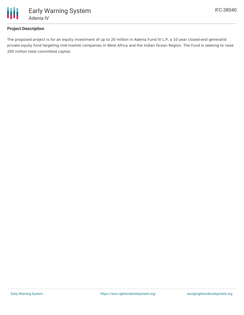

## **Project Description**

The proposed project is for an equity investment of up to 20 million in Adenia Fund IV L.P, a 10 year closed-end generalist private equity fund targeting mid-market companies in West Africa and the Indian Ocean Region. The Fund is seeking to raise 200 million total committed capital.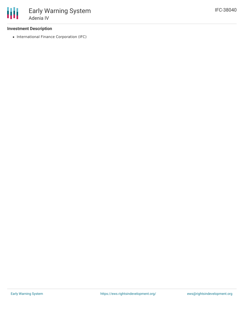### **Investment Description**

• International Finance Corporation (IFC)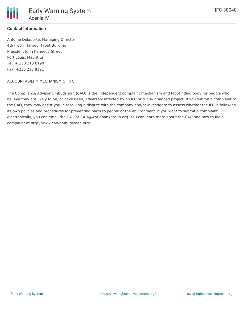

#### **Contact Information**

Antoine Delaporte, Managing Director 4th Floor, Harbour Front Building, President John Kennedy Street Port Louis, Mauritius Tel: + 230 213 8190 Fax: +230 213 8191

#### ACCOUNTABILITY MECHANISM OF IFC

The Compliance Advisor Ombudsman (CAO) is the independent complaint mechanism and fact-finding body for people who believe they are likely to be, or have been, adversely affected by an IFC or MIGA- financed project. If you submit a complaint to the CAO, they may assist you in resolving a dispute with the company and/or investigate to assess whether the IFC is following its own policies and procedures for preventing harm to people or the environment. If you want to submit a complaint electronically, you can email the CAO at CAO@worldbankgroup.org. You can learn more about the CAO and how to file a complaint at http://www.cao-ombudsman.org/